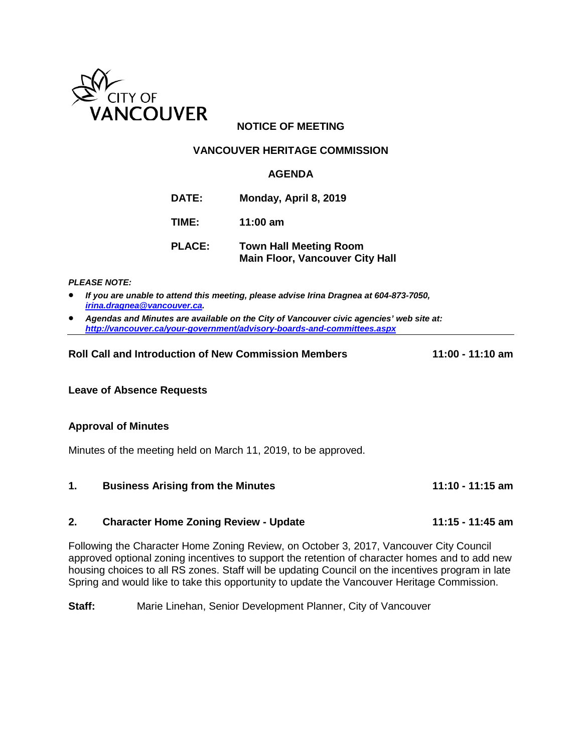

# **NOTICE OF MEETING**

### **VANCOUVER HERITAGE COMMISSION**

### **AGENDA**

- **DATE: Monday, April 8, 2019**
- **TIME: 11:00 am**
- **PLACE: Town Hall Meeting Room Main Floor, Vancouver City Hall**

*PLEASE NOTE:*

- *If you are unable to attend this meeting, please advise Irina Dragnea at 604-873-7050, [irina.dragnea@vancouver.ca.](mailto:irina.dragnea@vancouver.ca)*
- *Agendas and Minutes are available on the City of Vancouver civic agencies' web site at: <http://vancouver.ca/your-government/advisory-boards-and-committees.aspx>*

#### **Roll Call and Introduction of New Commission Members 11:00 - 11:10 am**

#### **Leave of Absence Requests**

#### **Approval of Minutes**

Minutes of the meeting held on March 11, 2019, to be approved.

|  | <b>Business Arising from the Minutes</b> | 11:10 - 11:15 am |
|--|------------------------------------------|------------------|
|--|------------------------------------------|------------------|

## **2. Character Home Zoning Review - Update 11:15 - 11:45 am**

Following the Character Home Zoning Review, on October 3, 2017, Vancouver City Council approved optional zoning incentives to support the retention of character homes and to add new housing choices to all RS zones. Staff will be updating Council on the incentives program in late Spring and would like to take this opportunity to update the Vancouver Heritage Commission.

**Staff:** Marie Linehan, Senior Development Planner, City of Vancouver